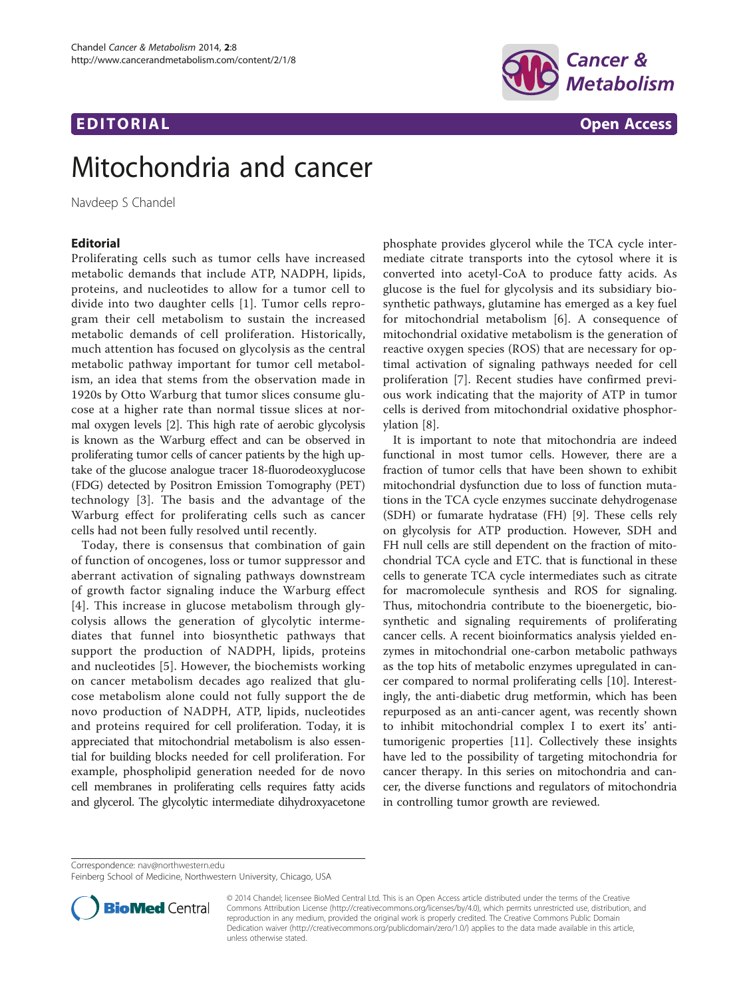## EDI TORIA L Open Access



# Mitochondria and cancer

Navdeep S Chandel

### **Editorial**

Proliferating cells such as tumor cells have increased metabolic demands that include ATP, NADPH, lipids, proteins, and nucleotides to allow for a tumor cell to divide into two daughter cells [\[1\]](#page-1-0). Tumor cells reprogram their cell metabolism to sustain the increased metabolic demands of cell proliferation. Historically, much attention has focused on glycolysis as the central metabolic pathway important for tumor cell metabolism, an idea that stems from the observation made in 1920s by Otto Warburg that tumor slices consume glucose at a higher rate than normal tissue slices at normal oxygen levels [\[2\]](#page-1-0). This high rate of aerobic glycolysis is known as the Warburg effect and can be observed in proliferating tumor cells of cancer patients by the high uptake of the glucose analogue tracer 18-fluorodeoxyglucose (FDG) detected by Positron Emission Tomography (PET) technology [[3\]](#page-1-0). The basis and the advantage of the Warburg effect for proliferating cells such as cancer cells had not been fully resolved until recently.

Today, there is consensus that combination of gain of function of oncogenes, loss or tumor suppressor and aberrant activation of signaling pathways downstream of growth factor signaling induce the Warburg effect [[4](#page-1-0)]. This increase in glucose metabolism through glycolysis allows the generation of glycolytic intermediates that funnel into biosynthetic pathways that support the production of NADPH, lipids, proteins and nucleotides [[5](#page-1-0)]. However, the biochemists working on cancer metabolism decades ago realized that glucose metabolism alone could not fully support the de novo production of NADPH, ATP, lipids, nucleotides and proteins required for cell proliferation. Today, it is appreciated that mitochondrial metabolism is also essential for building blocks needed for cell proliferation. For example, phospholipid generation needed for de novo cell membranes in proliferating cells requires fatty acids and glycerol. The glycolytic intermediate dihydroxyacetone

phosphate provides glycerol while the TCA cycle intermediate citrate transports into the cytosol where it is converted into acetyl-CoA to produce fatty acids. As glucose is the fuel for glycolysis and its subsidiary biosynthetic pathways, glutamine has emerged as a key fuel for mitochondrial metabolism [[6\]](#page-1-0). A consequence of mitochondrial oxidative metabolism is the generation of reactive oxygen species (ROS) that are necessary for optimal activation of signaling pathways needed for cell proliferation [[7](#page-1-0)]. Recent studies have confirmed previous work indicating that the majority of ATP in tumor cells is derived from mitochondrial oxidative phosphorylation [[8\]](#page-1-0).

It is important to note that mitochondria are indeed functional in most tumor cells. However, there are a fraction of tumor cells that have been shown to exhibit mitochondrial dysfunction due to loss of function mutations in the TCA cycle enzymes succinate dehydrogenase (SDH) or fumarate hydratase (FH) [\[9](#page-1-0)]. These cells rely on glycolysis for ATP production. However, SDH and FH null cells are still dependent on the fraction of mitochondrial TCA cycle and ETC. that is functional in these cells to generate TCA cycle intermediates such as citrate for macromolecule synthesis and ROS for signaling. Thus, mitochondria contribute to the bioenergetic, biosynthetic and signaling requirements of proliferating cancer cells. A recent bioinformatics analysis yielded enzymes in mitochondrial one-carbon metabolic pathways as the top hits of metabolic enzymes upregulated in cancer compared to normal proliferating cells [[10](#page-1-0)]. Interestingly, the anti-diabetic drug metformin, which has been repurposed as an anti-cancer agent, was recently shown to inhibit mitochondrial complex I to exert its' antitumorigenic properties [[11](#page-1-0)]. Collectively these insights have led to the possibility of targeting mitochondria for cancer therapy. In this series on mitochondria and cancer, the diverse functions and regulators of mitochondria in controlling tumor growth are reviewed.

Correspondence: [nav@northwestern.edu](mailto:nav@northwestern.edu)

Feinberg School of Medicine, Northwestern University, Chicago, USA



<sup>© 2014</sup> Chandel; licensee BioMed Central Ltd. This is an Open Access article distributed under the terms of the Creative Commons Attribution License [\(http://creativecommons.org/licenses/by/4.0\)](http://creativecommons.org/licenses/by/4.0), which permits unrestricted use, distribution, and reproduction in any medium, provided the original work is properly credited. The Creative Commons Public Domain Dedication waiver [\(http://creativecommons.org/publicdomain/zero/1.0/](http://creativecommons.org/publicdomain/zero/1.0/)) applies to the data made available in this article, unless otherwise stated.